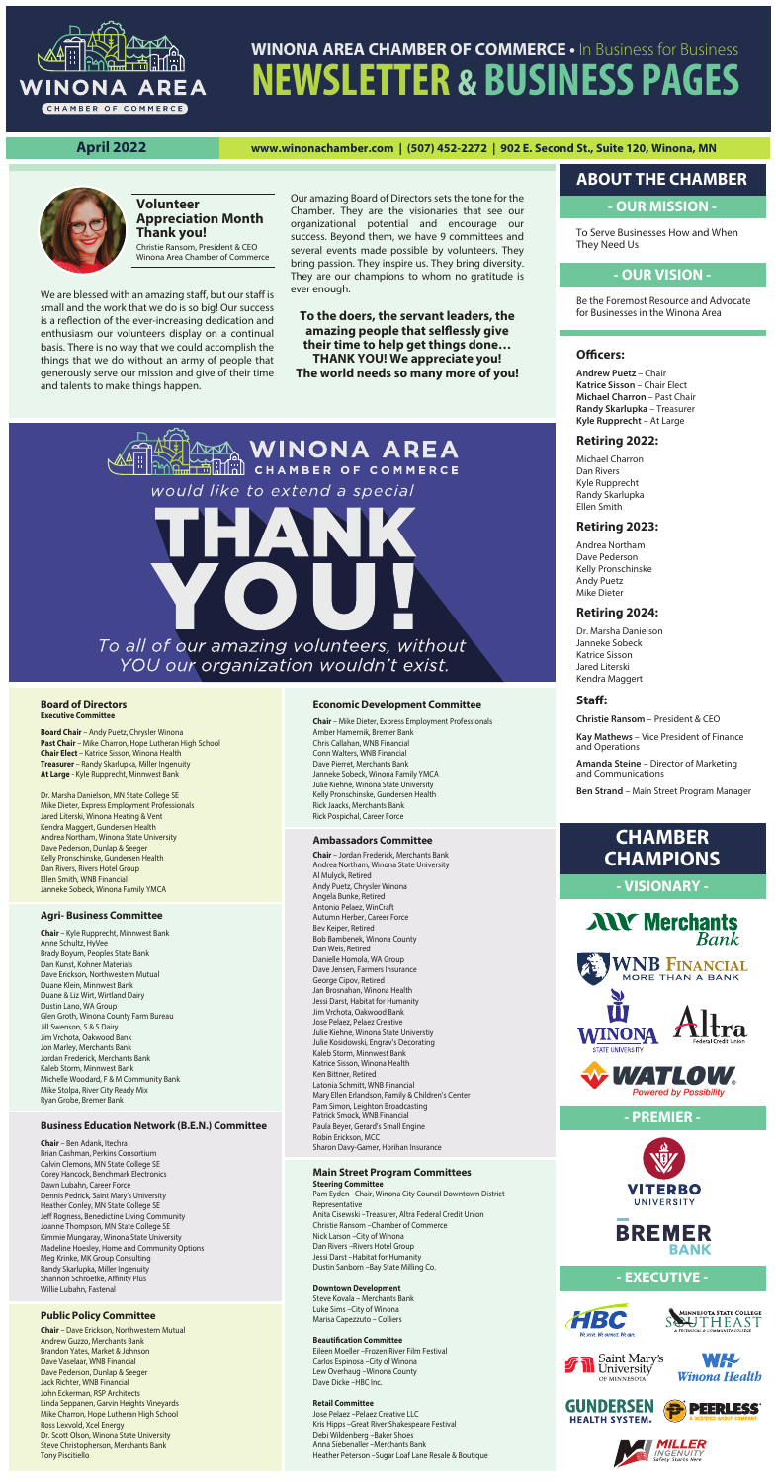# **- OUR MISSION -**

To Serve Businesses How and When They Need Us



# **WINONA AREA CHAMBER OF COMMERCE •** In Business for Business **NEWSLETTER & BUSINESS PAGES**

**April 2022 www.winonachamber.com | (507) 452-2272 | 902 E. Second St., Suite 120, Winona, MN**



**Andrew Puetz** – Chair **Katrice Sisson** – Chair Elect **Michael Charron** – Past Chair **Randy Skarlupka** – Treasurer **Kyle Rupprecht** – At Large

# **Retiring 2022:**

Michael Charron Dan Rivers Kyle Rupprecht Randy Skarlupka Ellen Smith

# **Retiring 2023:**

Andrea Northam Dave Pederson Kelly Pronschinske Andy Puetz Mike Dieter

# **Retiring 2024:**

Dr. Marsha Danielson Janneke Sobeck Katrice Sisson Jared Literski Kendra Maggert

### Staff:

**Christie Ransom** – President & CEO

**Kay Mathews** – Vice President of Finance and Operations

We are blessed with an amazing staff, but our staff is small and the work that we do is so big! Our success is a reflection of the ever-increasing dedication and enthusiasm our volunteers display on a continual basis. There is no way that we could accomplish the things that we do without an army of people that generously serve our mission and give of their time and talents to make things happen.

> **Amanda Steine** – Director of Marketing and Communications

**Ben Strand** – Main Street Program Manager

# **- OUR VISION -**

# **ABOUT THE CHAMBER**

Be the Foremost Resource and Advocate for Businesses in the Winona Area

# **Officers:**

# **CHAMBER CHAMPIONS**

**- VISIONARY -**



# **- PREMIER -**





# **- EXECUTIVE -**













# **Volunteer Appreciation Month Thank you!**

Christie Ransom, President & CEO Winona Area Chamber of Commerce Our amazing Board of Directors sets the tone for the Chamber. They are the visionaries that see our organizational potential and encourage our success. Beyond them, we have 9 committees and several events made possible by volunteers. They bring passion. They inspire us. They bring diversity. They are our champions to whom no gratitude is ever enough.

**To the doers, the servant leaders, the**  amazing people that selflessly give **their time to help get things done…** 

**THANK YOU! We appreciate you!**

**The world needs so many more of you!**

ANA WINONA AREA

would like to extend a special

To all of our amazing volunteers, without YOU our organization wouldn't exist.

## **Board of Directors Executive Committee**

**Board Chair** – Andy Puetz, Chrysler Winona **Past Chair** – Mike Charron, Hope Lutheran High School **Chair Elect** – Katrice Sisson, Winona Health **Treasurer** – Randy Skarlupka, Miller Ingenuity **At Large** - Kyle Rupprecht, Minnwest Bank

Dr. Marsha Danielson, MN State College SE Mike Dieter, Express Employment Professionals Jared Literski, Winona Heating & Vent Kendra Maggert, Gundersen Health Andrea Northam, Winona State University Dave Pederson, Dunlap & Seeger Kelly Pronschinske, Gundersen Health Dan Rivers, Rivers Hotel Group Ellen Smith, WNB Financial Janneke Sobeck, Winona Family YMCA

# **Agri- Business Committee**

**Chair** – Kyle Rupprecht, Minnwest Bank Anne Schultz, HyVee Brady Boyum, Peoples State Bank Dan Kunst, Kohner Materials Dave Erickson, Northwestern Mutual

Duane Klein, Minnwest Bank Duane & Liz Wirt, Wirtland Dairy Dustin Lano, WA Group Glen Groth, Winona County Farm Bureau Jill Swenson, S & S Dairy Jim Vrchota, Oakwood Bank Jon Marley, Merchants Bank Jordan Frederick, Merchants Bank Kaleb Storm, Minnwest Bank Michelle Woodard, F & M Community Bank Mike Stolpa, River City Ready Mix Ryan Grobe, Bremer Bank

## **Business Education Network (B.E.N.) Committee**

**Chair** – Ben Adank, Itechra Brian Cashman, Perkins Consortium Calvin Clemons, MN State College SE Corey Hancock, Benchmark Electronics Dawn Lubahn, Career Force Dennis Pedrick, Saint Mary's University Heather Conley, MN State College SE Jeff Rogness, Benedictine Living Community Joanne Thompson, MN State College SE Kimmie Mungaray, Winona State University Madeline Hoesley, Home and Community Options Meg Krinke, MK Group Consulting Randy Skarlupka, Miller Ingenuity Shannon Schroetke, Affinity Plus Willie Lubahn, Fastenal

### **Public Policy Committee**

**Chair** – Dave Erickson, Northwestern Mutual Andrew Guzzo, Merchants Bank Brandon Yates, Market & Johnson Dave Vaselaar, WNB Financial Dave Pederson, Dunlap & Seeger Jack Richter, WNB Financial John Eckerman, RSP Architects Linda Seppanen, Garvin Heights Vineyards Mike Charron, Hope Lutheran High School Ross Lexvold, Xcel Energy Dr. Scott Olson, Winona State University Steve Christopherson, Merchants Bank Tony Piscitiello

## **Economic Development Committee**

**Chair** – Mike Dieter, Express Employment Professionals Amber Hamernik, Bremer Bank Chris Callahan, WNB Financial Conn Walters, WNB Financial Dave Pierret, Merchants Bank Janneke Sobeck, Winona Family YMCA Julie Kiehne, Winona State University Kelly Pronschinske, Gundersen Health Rick Jaacks, Merchants Bank Rick Pospichal, Career Force

### **Ambassadors Committee**

**Chair** – Jordan Frederick, Merchants Bank Andrea Northam, Winona State University Al Mulyck, Retired Andy Puetz, Chrysler Winona Angela Bunke, Retired Antonio Pelaez, WinCraft Autumn Herber, Career Force Bev Keiper, Retired Bob Bambenek, Winona County Dan Weis, Retired Danielle Homola, WA Group Dave Jensen, Farmers Insurance George Cipov, Retired Jan Brosnahan, Winona Health Jessi Darst, Habitat for Humanity Jim Vrchota, Oakwood Bank Jose Pelaez, Pelaez Creative Julie Kiehne, Winona State Universtiy Julie Kosidowski, Engrav's Decorating Kaleb Storm, Minnwest Bank Katrice Sisson, Winona Health Ken Bittner, Retired Latonia Schmitt, WNB Financial Mary Ellen Erlandson, Family & Children's Center Pam Simon, Leighton Broadcasting Patrick Smock, WNB Financial Paula Beyer, Gerard's Small Engine Robin Erickson, MCC Sharon Davy-Gamer, Horihan Insurance

### **Main Street Program Committees Steering Committee**

Pam Eyden –Chair, Winona City Council Downtown District Representative Anita Cisewski –Treasurer, Altra Federal Credit Union Christie Ransom –Chamber of Commerce Nick Larson –City of Winona Dan Rivers –Rivers Hotel Group Jessi Darst –Habitat for Humanity Dustin Sanborn –Bay State Milling Co.

### **Downtown Development**

Steve Kovala – Merchants Bank Luke Sims –City of Winona Marisa Capezzuto – Colliers

### **Beautification Committee**

Eileen Moeller –Frozen River Film Festival Carlos Espinosa –City of Winona Lew Overhaug –Winona County Dave Dicke –HBC Inc.

### **Retail Committee**

Jose Pelaez –Pelaez Creative LLC Kris Hipps –Great River Shakespeare Festival Debi Wildenberg –Baker Shoes Anna Siebenaller –Merchants Bank Heather Peterson –Sugar Loaf Lane Resale & Boutique